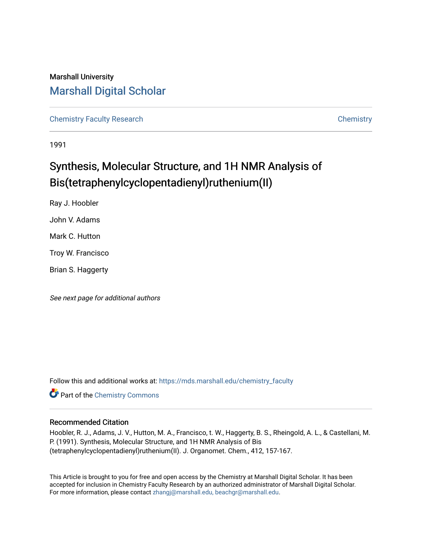## Marshall University [Marshall Digital Scholar](https://mds.marshall.edu/)

[Chemistry Faculty Research](https://mds.marshall.edu/chemistry_faculty) [Chemistry](https://mds.marshall.edu/chemistry) 

1991

# Synthesis, Molecular Structure, and 1H NMR Analysis of Bis(tetraphenylcyclopentadienyl)ruthenium(II)

Ray J. Hoobler John V. Adams Mark C. Hutton Troy W. Francisco Brian S. Haggerty

See next page for additional authors

Follow this and additional works at: [https://mds.marshall.edu/chemistry\\_faculty](https://mds.marshall.edu/chemistry_faculty?utm_source=mds.marshall.edu%2Fchemistry_faculty%2F26&utm_medium=PDF&utm_campaign=PDFCoverPages) 

**Part of the Chemistry Commons** 

#### Recommended Citation

Hoobler, R. J., Adams, J. V., Hutton, M. A., Francisco, t. W., Haggerty, B. S., Rheingold, A. L., & Castellani, M. P. (1991). Synthesis, Molecular Structure, and 1H NMR Analysis of Bis (tetraphenylcyclopentadienyl)ruthenium(II). J. Organomet. Chem., 412, 157-167.

This Article is brought to you for free and open access by the Chemistry at Marshall Digital Scholar. It has been accepted for inclusion in Chemistry Faculty Research by an authorized administrator of Marshall Digital Scholar. For more information, please contact [zhangj@marshall.edu, beachgr@marshall.edu.](mailto:zhangj@marshall.edu,%20beachgr@marshall.edu)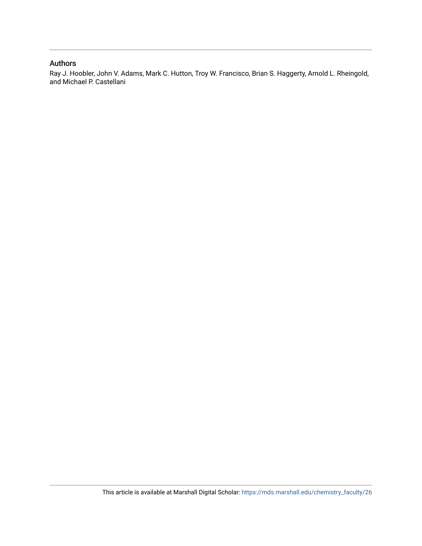#### Authors

Ray J. Hoobler, John V. Adams, Mark C. Hutton, Troy W. Francisco, Brian S. Haggerty, Arnold L. Rheingold, and Michael P. Castellani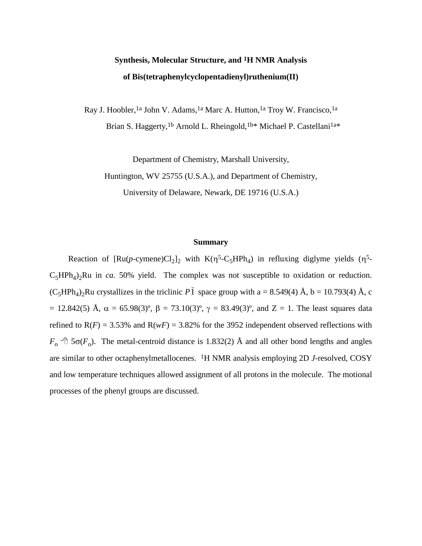# **Synthesis, Molecular Structure, and 1H NMR Analysis of Bis(tetraphenylcyclopentadienyl)ruthenium(II)**

Ray J. Hoobler,<sup>1a</sup> John V. Adams,<sup>1a</sup> Marc A. Hutton,<sup>1a</sup> Troy W. Francisco,<sup>1a</sup> Brian S. Haggerty,<sup>1b</sup> Arnold L. Rheingold,<sup>1b\*</sup> Michael P. Castellani<sup>1a\*</sup>

Department of Chemistry, Marshall University,

Huntington, WV 25755 (U.S.A.), and Department of Chemistry,

University of Delaware, Newark, DE 19716 (U.S.A.)

#### **Summary**

Reaction of  $[Ru(p\text{-cymene})Cl_2]_2$  with  $K(\eta^5\text{-C}_5HPh_4)$  in refluxing diglyme yields  $(\eta^5\text{-}$  $C_5HPh_4$ )<sub>2</sub>Ru in *ca.* 50% yield. The complex was not susceptible to oxidation or reduction.  $(C_5HPh_4)_2$ Ru crystallizes in the triclinic  $P\bar{1}$  space group with a = 8.549(4) Å, b = 10.793(4) Å, c = 12.842(5) Å,  $\alpha$  = 65.98(3)°,  $\beta$  = 73.10(3)°,  $\gamma$  = 83.49(3)°, and Z = 1. The least squares data refined to  $R(F) = 3.53\%$  and  $R(wF) = 3.82\%$  for the 3952 independent observed reflections with  $F_0$  <sup> $\oplus$ </sup> 5 $\sigma$ ( $F_0$ ). The metal-centroid distance is 1.832(2) Å and all other bond lengths and angles are similar to other octaphenylmetallocenes. 1H NMR analysis employing 2D *J*-resolved, COSY and low temperature techniques allowed assignment of all protons in the molecule. The motional processes of the phenyl groups are discussed.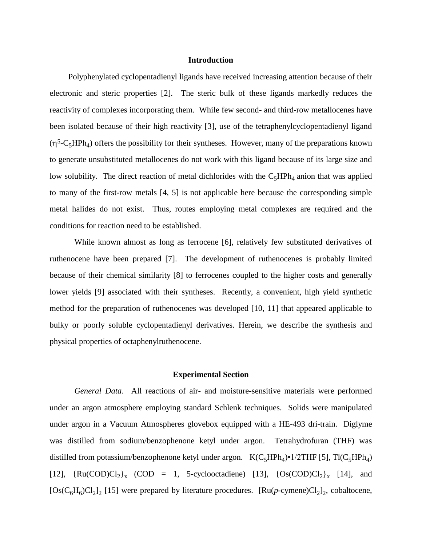#### **Introduction**

Polyphenylated cyclopentadienyl ligands have received increasing attention because of their electronic and steric properties [2]. The steric bulk of these ligands markedly reduces the reactivity of complexes incorporating them. While few second- and third-row metallocenes have been isolated because of their high reactivity [3], use of the tetraphenylcyclopentadienyl ligand  $(\eta^5$ -C<sub>5</sub>HPh<sub>4</sub>) offers the possibility for their syntheses. However, many of the preparations known to generate unsubstituted metallocenes do not work with this ligand because of its large size and low solubility. The direct reaction of metal dichlorides with the  $C_5HPh_4$  anion that was applied to many of the first-row metals [4, 5] is not applicable here because the corresponding simple metal halides do not exist. Thus, routes employing metal complexes are required and the conditions for reaction need to be established.

While known almost as long as ferrocene [6], relatively few substituted derivatives of ruthenocene have been prepared [7]. The development of ruthenocenes is probably limited because of their chemical similarity [8] to ferrocenes coupled to the higher costs and generally lower yields [9] associated with their syntheses. Recently, a convenient, high yield synthetic method for the preparation of ruthenocenes was developed [10, 11] that appeared applicable to bulky or poorly soluble cyclopentadienyl derivatives. Herein, we describe the synthesis and physical properties of octaphenylruthenocene.

#### **Experimental Section**

*General Data*. All reactions of air- and moisture-sensitive materials were performed under an argon atmosphere employing standard Schlenk techniques. Solids were manipulated under argon in a Vacuum Atmospheres glovebox equipped with a HE-493 dri-train. Diglyme was distilled from sodium/benzophenone ketyl under argon. Tetrahydrofuran (THF) was distilled from potassium/benzophenone ketyl under argon.  $K(C_5HPh_4) \cdot 1/2THF$  [5], Tl $(C_5HPh_4)$ [12],  $\{Ru(COD)Cl_2\}_x$  (COD = 1, 5-cyclooctadiene) [13],  $\{Os(COD)Cl_2\}_x$  [14], and  $[Os(C<sub>6</sub>H<sub>6</sub>)Cl<sub>2</sub>]$ <sub>2</sub> [15] were prepared by literature procedures.  $[Ru(p\text{-cymene})Cl<sub>2</sub>]$ <sub>2</sub>, cobaltocene,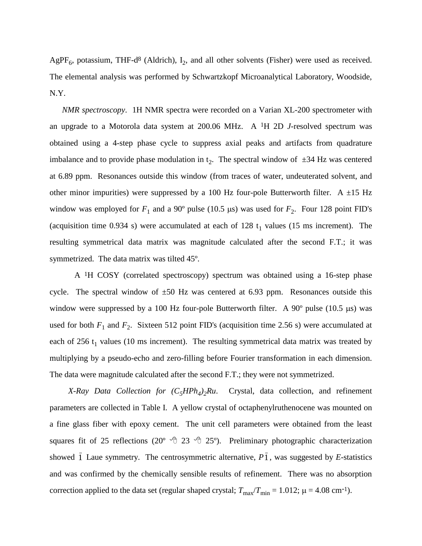AgPF<sub>6</sub>, potassium, THF-d<sup>8</sup> (Aldrich),  $I_2$ , and all other solvents (Fisher) were used as received. The elemental analysis was performed by Schwartzkopf Microanalytical Laboratory, Woodside, N.Y.

 *NMR spectroscopy*. 1H NMR spectra were recorded on a Varian XL-200 spectrometer with an upgrade to a Motorola data system at 200.06 MHz. A 1H 2D *J*-resolved spectrum was obtained using a 4-step phase cycle to suppress axial peaks and artifacts from quadrature imbalance and to provide phase modulation in  $t_2$ . The spectral window of  $\pm 34$  Hz was centered at 6.89 ppm. Resonances outside this window (from traces of water, undeuterated solvent, and other minor impurities) were suppressed by a 100 Hz four-pole Butterworth filter. A  $\pm$ 15 Hz window was employed for  $F_1$  and a 90° pulse (10.5  $\mu$ s) was used for  $F_2$ . Four 128 point FID's (acquisition time 0.934 s) were accumulated at each of 128  $t_1$  values (15 ms increment). The resulting symmetrical data matrix was magnitude calculated after the second F.T.; it was symmetrized. The data matrix was tilted 45º.

A 1H COSY (correlated spectroscopy) spectrum was obtained using a 16-step phase cycle. The spectral window of  $\pm 50$  Hz was centered at 6.93 ppm. Resonances outside this window were suppressed by a 100 Hz four-pole Butterworth filter. A  $90^{\circ}$  pulse (10.5 µs) was used for both  $F_1$  and  $F_2$ . Sixteen 512 point FID's (acquisition time 2.56 s) were accumulated at each of 256  $t_1$  values (10 ms increment). The resulting symmetrical data matrix was treated by multiplying by a pseudo-echo and zero-filling before Fourier transformation in each dimension. The data were magnitude calculated after the second F.T.; they were not symmetrized.

*X-Ray Data Collection for (C5HPh<sup>4</sup> )2Ru*. Crystal, data collection, and refinement parameters are collected in Table I. A yellow crystal of octaphenylruthenocene was mounted on a fine glass fiber with epoxy cement. The unit cell parameters were obtained from the least squares fit of 25 reflections (20°  $\sqrt{ }$  23  $\sqrt{ }$  25°). Preliminary photographic characterization showed  $\overline{1}$  Laue symmetry. The centrosymmetric alternative,  $P\overline{1}$ , was suggested by *E*-statistics and was confirmed by the chemically sensible results of refinement. There was no absorption correction applied to the data set (regular shaped crystal;  $T_{\text{max}}/T_{\text{min}} = 1.012$ ;  $\mu = 4.08 \text{ cm}^{-1}$ ).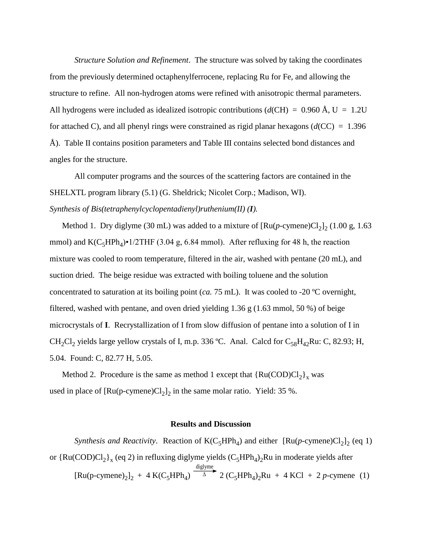*Structure Solution and Refinement*. The structure was solved by taking the coordinates from the previously determined octaphenylferrocene, replacing Ru for Fe, and allowing the structure to refine. All non-hydrogen atoms were refined with anisotropic thermal parameters. All hydrogens were included as idealized isotropic contributions ( $d$ (CH) = 0.960 Å, U = 1.2U for attached C), and all phenyl rings were constrained as rigid planar hexagons (*d*(CC) = 1.396 Å). Table II contains position parameters and Table III contains selected bond distances and angles for the structure.

All computer programs and the sources of the scattering factors are contained in the SHELXTL program library (5.1) (G. Sheldrick; Nicolet Corp.; Madison, WI). *Synthesis of Bis(tetraphenylcyclopentadienyl)ruthenium(II) (I).*

Method 1. Dry diglyme (30 mL) was added to a mixture of  $\left[\text{Ru}(p\text{-cymene})\text{Cl}_2\right]_2$  (1.00 g, 1.63 mmol) and  $K(C_5HPh_4)$ •1/2THF (3.04 g, 6.84 mmol). After refluxing for 48 h, the reaction mixture was cooled to room temperature, filtered in the air, washed with pentane (20 mL), and suction dried. The beige residue was extracted with boiling toluene and the solution concentrated to saturation at its boiling point (*ca.* 75 mL). It was cooled to -20 ºC overnight, filtered, washed with pentane, and oven dried yielding 1.36 g (1.63 mmol, 50 %) of beige microcrystals of **I**. Recrystallization of I from slow diffusion of pentane into a solution of I in CH<sub>2</sub>Cl<sub>2</sub> yields large yellow crystals of I, m.p. 336 °C. Anal. Calcd for C<sub>58</sub>H<sub>42</sub>Ru: C, 82.93; H, 5.04. Found: C, 82.77 H, 5.05.

Method 2. Procedure is the same as method 1 except that  ${Ru(COD)Cl<sub>2</sub>}<sub>x</sub>$  was used in place of  $[Ru(p\text{-cymene})Cl_2]_2$  in the same molar ratio. Yield: 35 %.

#### **Results and Discussion**

*Synthesis and Reactivity.* Reaction of  $K(C_5HPh_4)$  and either  $[Ru(p\text{-cymene})Cl_2]_2$  (eq 1) or  $\{Ru(COD)Cl_2\}_x$  (eq 2) in refluxing diglyme yields  $(C_5HPh_4)_2Ru$  in moderate yields after [Ru(p-cymene)<sub>2</sub>]<sub>2</sub> + 4 K(C<sub>5</sub>HPh<sub>4</sub>)  $\Delta$ diglyme  $2 (C_5 H Ph_4)_2 Ru + 4 KCl + 2 p$ -cymene (1)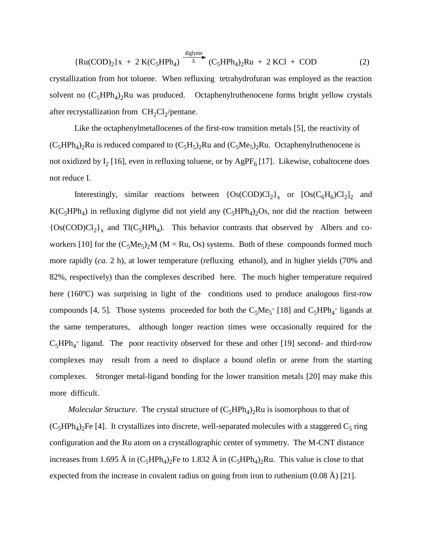$$
{\rm Ru(COD)_2}x + 2 K(C_5HPh_4) \xrightarrow{\text{diglyme}} (C_5HPh_4)_2Ru + 2 KCl + COD \tag{2}
$$

crystallization from hot toluene. When refluxing tetrahydrofuran was employed as the reaction solvent no  $(C_5HPh_4)_2Ru$  was produced. Octaphenylruthenocene forms bright yellow crystals after recrystallization from  $CH_2Cl_2$ /pentane.

Like the octaphenylmetallocenes of the first-row transition metals [5], the reactivity of  $(C_5HPh_4)_2Ru$  is reduced compared to  $(C_5H_5)_2Ru$  and  $(C_5Me_5)_2Ru$ . Octaphenylruthenocene is not oxidized by  $I_2$  [16], even in refluxing toluene, or by  $AgPF_6$  [17]. Likewise, cobaltocene does not reduce I.

Interestingly, similar reactions between  ${OS(COD)Cl_2}_x$  or  ${OS(C_6H_6)Cl_2}_2$  and  $K(C_5HPh_4)$  in refluxing diglyme did not yield any  $(C_5HPh_4)_2Os$ , nor did the reaction between  ${Os(COD)Cl<sub>2</sub>}<sub>x</sub>$  and Tl(C<sub>5</sub>HPh<sub>4</sub>). This behavior contrasts that observed by Albers and coworkers [10] for the  $(C_5Me_5)_2M$  (M = Ru, Os) systems. Both of these compounds formed much more rapidly (*ca.* 2 h), at lower temperature (refluxing ethanol), and in higher yields (70% and 82%, respectively) than the complexes described here. The much higher temperature required here (160°C) was surprising in light of the conditions used to produce analogous first-row compounds [4, 5]. Those systems proceeded for both the  $C_5Me_5$ <sup>-</sup> [18] and  $C_5HPh_4$ <sup>-</sup> ligands at the same temperatures, although longer reaction times were occasionally required for the  $C_5HPh_4$ <sup>-</sup> ligand. The poor reactivity observed for these and other [19] second- and third-row complexes may result from a need to displace a bound olefin or arene from the starting complexes. Stronger metal-ligand bonding for the lower transition metals [20] may make this more difficult.

*Molecular Structure.* The crystal structure of  $(C_5HPh_4)_2Ru$  is isomorphous to that of  $(C_5HPh_4)_2$ Fe [4]. It crystallizes into discrete, well-separated molecules with a staggered  $C_5$  ring configuration and the Ru atom on a crystallographic center of symmetry. The M-CNT distance increases from 1.695 Å in  $(C_5HPh_4)_2$ Fe to 1.832 Å in  $(C_5HPh_4)_2$ Ru. This value is close to that expected from the increase in covalent radius on going from iron to ruthenium (0.08 Å) [21].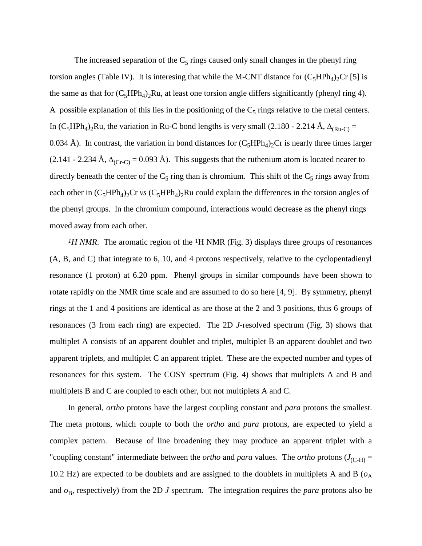The increased separation of the  $C_5$  rings caused only small changes in the phenyl ring torsion angles (Table IV). It is interesing that while the M-CNT distance for  $(C_5HPh_4)_2Cr$  [5] is the same as that for  $(C_5HPh_4)_2Ru$ , at least one torsion angle differs significantly (phenyl ring 4). A possible explanation of this lies in the positioning of the  $C_5$  rings relative to the metal centers. In  $(C_5HPh_4)_2Ru$ , the variation in Ru-C bond lengths is very small (2.180 - 2.214 Å,  $\Delta_{(Ru-C)} =$ 0.034 Å). In contrast, the variation in bond distances for  $(C_5HPh_4)_2$ Cr is nearly three times larger (2.141 - 2.234 Å,  $\Delta_{(Cr-C)} = 0.093$  Å). This suggests that the ruthenium atom is located nearer to directly beneath the center of the  $C_5$  ring than is chromium. This shift of the  $C_5$  rings away from each other in  $(C_5HPh_4)_2$ Cr *vs*  $(C_5HPh_4)_2$ Ru could explain the differences in the torsion angles of the phenyl groups. In the chromium compound, interactions would decrease as the phenyl rings moved away from each other.

*1H NMR*. The aromatic region of the 1H NMR (Fig. 3) displays three groups of resonances (A, B, and C) that integrate to 6, 10, and 4 protons respectively, relative to the cyclopentadienyl resonance (1 proton) at 6.20 ppm. Phenyl groups in similar compounds have been shown to rotate rapidly on the NMR time scale and are assumed to do so here [4, 9]. By symmetry, phenyl rings at the 1 and 4 positions are identical as are those at the 2 and 3 positions, thus 6 groups of resonances (3 from each ring) are expected. The 2D *J*-resolved spectrum (Fig. 3) shows that multiplet A consists of an apparent doublet and triplet, multiplet B an apparent doublet and two apparent triplets, and multiplet C an apparent triplet. These are the expected number and types of resonances for this system. The COSY spectrum (Fig. 4) shows that multiplets A and B and multiplets B and C are coupled to each other, but not multiplets A and C.

In general, *ortho* protons have the largest coupling constant and *para* protons the smallest. The meta protons, which couple to both the *ortho* and *para* protons, are expected to yield a complex pattern. Because of line broadening they may produce an apparent triplet with a "coupling constant" intermediate between the *ortho* and *para* values. The *ortho* protons  $(J_{(C-H)} =$ 10.2 Hz) are expected to be doublets and are assigned to the doublets in multiplets A and B ( $o_A$ ) and  $o_B$ , respectively) from the 2D *J* spectrum. The integration requires the *para* protons also be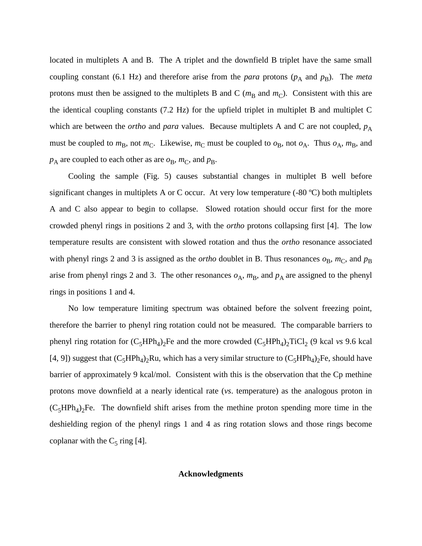located in multiplets A and B. The A triplet and the downfield B triplet have the same small coupling constant (6.1 Hz) and therefore arise from the *para* protons  $(p_A \text{ and } p_B)$ . The *meta* protons must then be assigned to the multiplets B and C ( $m<sub>B</sub>$  and  $m<sub>C</sub>$ ). Consistent with this are the identical coupling constants (7.2 Hz) for the upfield triplet in multiplet B and multiplet C which are between the *ortho* and *para* values. Because multiplets A and C are not coupled,  $p_A$ must be coupled to  $m_B$ , not  $m_C$ . Likewise,  $m_C$  must be coupled to  $o_B$ , not  $o_A$ . Thus  $o_A$ ,  $m_B$ , and  $p_A$  are coupled to each other as are  $o_B$ ,  $m_C$ , and  $p_B$ .

Cooling the sample (Fig. 5) causes substantial changes in multiplet B well before significant changes in multiplets A or C occur. At very low temperature (-80 ºC) both multiplets A and C also appear to begin to collapse. Slowed rotation should occur first for the more crowded phenyl rings in positions 2 and 3, with the *ortho* protons collapsing first [4]. The low temperature results are consistent with slowed rotation and thus the *ortho* resonance associated with phenyl rings 2 and 3 is assigned as the *ortho* doublet in B. Thus resonances  $o_B$ ,  $m_C$ , and  $p_B$ arise from phenyl rings 2 and 3. The other resonances  $o_A$ ,  $m_B$ , and  $p_A$  are assigned to the phenyl rings in positions 1 and 4.

No low temperature limiting spectrum was obtained before the solvent freezing point, therefore the barrier to phenyl ring rotation could not be measured. The comparable barriers to phenyl ring rotation for  $(C_5HPh_4)_2$ Fe and the more crowded  $(C_5HPh_4)_2$ TiCl<sub>2</sub> (9 kcal *vs* 9.6 kcal [4, 9]) suggest that  $(C_5HPh_4)_2Ru$ , which has a very similar structure to  $(C_5HPh_4)_2Fe$ , should have barrier of approximately 9 kcal/mol. Consistent with this is the observation that the Cp methine protons move downfield at a nearly identical rate (*vs*. temperature) as the analogous proton in  $(C_5HPh_4)_2$ Fe. The downfield shift arises from the methine proton spending more time in the deshielding region of the phenyl rings 1 and 4 as ring rotation slows and those rings become coplanar with the  $C_5$  ring [4].

#### **Acknowledgments**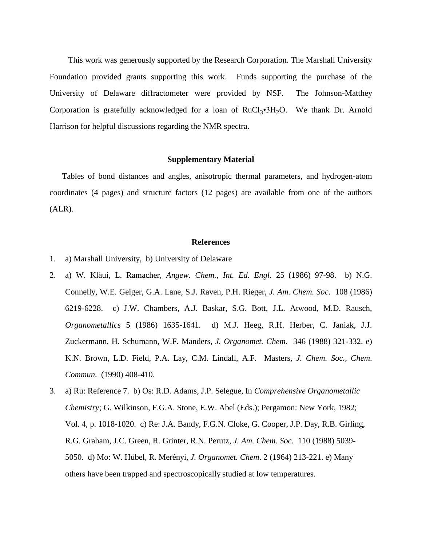This work was generously supported by the Research Corporation. The Marshall University Foundation provided grants supporting this work. Funds supporting the purchase of the University of Delaware diffractometer were provided by NSF. The Johnson-Matthey Corporation is gratefully acknowledged for a loan of  $RuCl<sub>3</sub>•3H<sub>2</sub>O$ . We thank Dr. Arnold Harrison for helpful discussions regarding the NMR spectra.

#### **Supplementary Material**

 Tables of bond distances and angles, anisotropic thermal parameters, and hydrogen-atom coordinates (4 pages) and structure factors (12 pages) are available from one of the authors (ALR).

#### **References**

- 1. a) Marshall University, b) University of Delaware
- 2. a) W. Kläui, L. Ramacher, *Angew. Chem., Int. Ed. Engl*. 25 (1986) 97-98. b) N.G. Connelly, W.E. Geiger, G.A. Lane, S.J. Raven, P.H. Rieger, *J. Am. Chem. Soc*. 108 (1986) 6219-6228. c) J.W. Chambers, A.J. Baskar, S.G. Bott, J.L. Atwood, M.D. Rausch, *Organometallics* 5 (1986) 1635-1641. d) M.J. Heeg, R.H. Herber, C. Janiak, J.J. Zuckermann, H. Schumann, W.F. Manders, *J. Organomet. Chem*. 346 (1988) 321-332. e) K.N. Brown, L.D. Field, P.A. Lay, C.M. Lindall, A.F. Masters, *J. Chem. Soc., Chem*. *Commun*. (1990) 408-410.
- 3. a) Ru: Reference 7. b) Os: R.D. Adams, J.P. Selegue, In *Comprehensive Organometallic Chemistry*; G. Wilkinson, F.G.A. Stone, E.W. Abel (Eds.); Pergamon: New York, 1982; Vol. 4, p. 1018-1020. c) Re: J.A. Bandy, F.G.N. Cloke, G. Cooper, J.P. Day, R.B. Girling, R.G. Graham, J.C. Green, R. Grinter, R.N. Perutz, *J. Am. Chem. Soc*. 110 (1988) 5039- 5050. d) Mo: W. Hübel, R. Merényi, *J. Organomet. Chem*. 2 (1964) 213-221. e) Many others have been trapped and spectroscopically studied at low temperatures.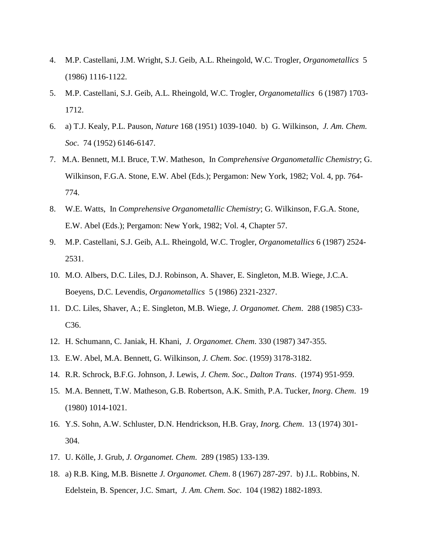- 4. M.P. Castellani, J.M. Wright, S.J. Geib, A.L. Rheingold, W.C. Trogler, *Organometallics* 5 (1986) 1116-1122.
- 5. M.P. Castellani, S.J. Geib, A.L. Rheingold, W.C. Trogler, *Organometallics* 6 (1987) 1703- 1712.
- 6. a) T.J. Kealy, P.L. Pauson, *Nature* 168 (1951) 1039-1040. b) G. Wilkinson, *J. Am. Chem. Soc*. 74 (1952) 6146-6147.
- 7. M.A. Bennett, M.I. Bruce, T.W. Matheson, In *Comprehensive Organometallic Chemistry*; G. Wilkinson, F.G.A. Stone, E.W. Abel (Eds.); Pergamon: New York, 1982; Vol. 4, pp. 764- 774.
- 8. W.E. Watts, In *Comprehensive Organometallic Chemistry*; G. Wilkinson, F.G.A. Stone, E.W. Abel (Eds.); Pergamon: New York, 1982; Vol. 4, Chapter 57.
- 9. M.P. Castellani, S.J. Geib, A.L. Rheingold, W.C. Trogler, *Organometallics* 6 (1987) 2524- 2531.
- 10. M.O. Albers, D.C. Liles, D.J. Robinson, A. Shaver, E. Singleton, M.B. Wiege, J.C.A. Boeyens, D.C. Levendis, *Organometallics* 5 (1986) 2321-2327.
- 11. D.C. Liles, Shaver, A.; E. Singleton, M.B. Wiege, *J. Organomet. Chem*. 288 (1985) C33- C36.
- 12. H. Schumann, C. Janiak, H. Khani, *J. Organomet. Chem*. 330 (1987) 347-355.
- 13. E.W. Abel, M.A. Bennett, G. Wilkinson, *J. Chem. Soc*. (1959) 3178-3182.
- 14. R.R. Schrock, B.F.G. Johnson, J. Lewis, *J. Chem. Soc., Dalton Trans*. (1974) 951-959.
- 15. M.A. Bennett, T.W. Matheson, G.B. Robertson, A.K. Smith, P.A. Tucker, *Inorg*. *Chem*. 19 (1980) 1014-1021.
- 16. Y.S. Sohn, A.W. Schluster, D.N. Hendrickson, H.B. Gray, *Inor*g. *Chem*. 13 (1974) 301- 304.
- 17. U. Kölle, J. Grub, *J. Organomet. Chem*. 289 (1985) 133-139.
- 18. a) R.B. King, M.B. Bisnette *J. Organomet. Chem*. 8 (1967) 287-297. b) J.L. Robbins, N. Edelstein, B. Spencer, J.C. Smart, *J. Am. Chem. Soc*. 104 (1982) 1882-1893.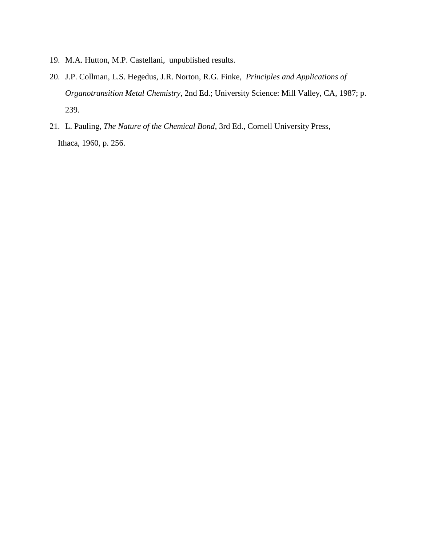- 19. M.A. Hutton, M.P. Castellani, unpublished results.
- 20. J.P. Collman, L.S. Hegedus, J.R. Norton, R.G. Finke, *Principles and Applications of Organotransition Metal Chemistry*, 2nd Ed.; University Science: Mill Valley, CA, 1987; p. 239.
- 21. L. Pauling, *The Nature of the Chemical Bond*, 3rd Ed., Cornell University Press, Ithaca, 1960, p. 256.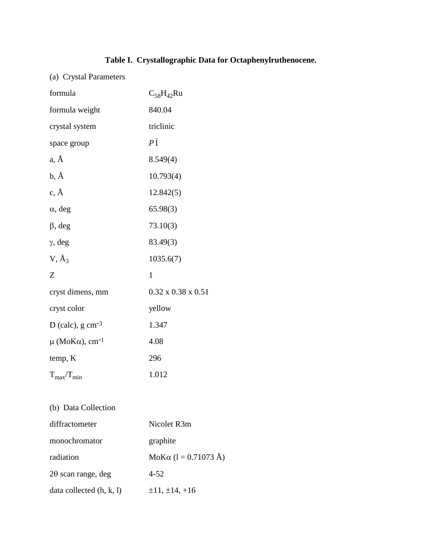### **Table I. Crystallographic Data for Octaphenylruthenocene.**

(a) Crystal Parameters

| formula                                 | $C_{58}H_{42}Ru$               |
|-----------------------------------------|--------------------------------|
| formula weight                          | 840.04                         |
| crystal system                          | triclinic                      |
| space group                             | $P\bar{1}$                     |
| a, Å                                    | 8.549(4)                       |
| $b, \AA$                                | 10.793(4)                      |
| $\rm c, \AA$                            | 12.842(5)                      |
| $\alpha$ , deg                          | 65.98(3)                       |
| $\beta$ , deg                           | 73.10(3)                       |
| $\gamma$ , deg                          | 83.49(3)                       |
| $V, \AA$                                | 1035.6(7)                      |
| Z                                       | $\mathbf{1}$                   |
| cryst dimens, mm                        | $0.32 \times 0.38 \times 0.51$ |
| cryst color                             | yellow                         |
| D (calc), $g \text{ cm}^{-3}$           | 1.347                          |
| $\mu$ (MoK $\alpha$ ), cm <sup>-1</sup> | 4.08                           |
| temp, K                                 | 296                            |
| $T_{\rm max}/T_{\rm min}$               | 1.012                          |

(b) Data Collection

| diffractometer             | Nicolet R3m                  |
|----------------------------|------------------------------|
| monochromator              | graphite                     |
| radiation                  | MoK $\alpha$ (1 = 0.71073 Å) |
| $2\theta$ scan range, deg  | $4 - 52$                     |
| data collected $(h, k, l)$ | $\pm 11, \pm 14, +16$        |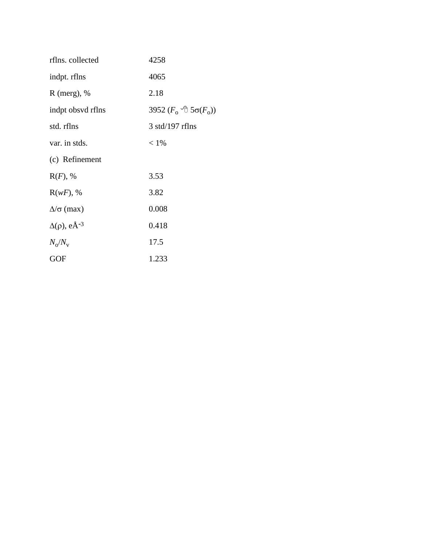| rflns. collected                  | 4258                                     |
|-----------------------------------|------------------------------------------|
| indpt. rflns                      | 4065                                     |
| $R$ (merg), %                     | 2.18                                     |
| indpt obsyd rflns                 | 3952 ( $F_0$ <sup>-</sup> θ 5σ( $F_0$ )) |
| std. rflns                        | $3$ std/197 rflns                        |
| var. in stds.                     | $< 1\%$                                  |
| (c) Refinement                    |                                          |
| $R(F)$ , %                        | 3.53                                     |
| $R(wF)$ , %                       | 3.82                                     |
| $\Delta/\sigma$ (max)             | 0.008                                    |
| $\Delta(\rho)$ , eÅ <sup>-3</sup> | 0.418                                    |
| $N_{\rm o}/N_{\rm v}$             | 17.5                                     |
| <b>GOF</b>                        | 1.233                                    |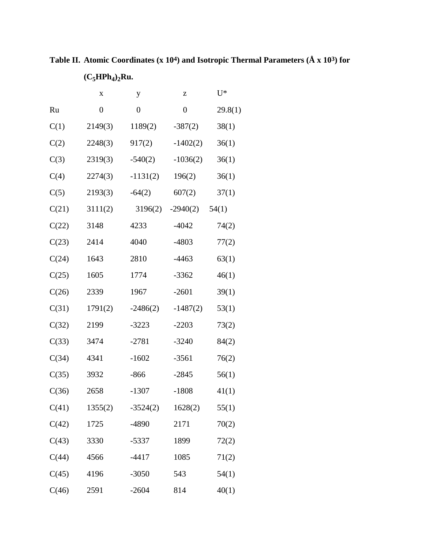x y z  $U^*$ Ru 0 0 0 29.8(1)  $C(1)$  2149(3) 1189(2) -387(2) 38(1)  $C(2)$  2248(3) 917(2) -1402(2) 36(1)  $C(3)$  2319(3) -540(2) -1036(2) 36(1)  $C(4)$  2274(3) -1131(2) 196(2) 36(1)  $C(5)$  2193(3) -64(2) 607(2) 37(1)  $C(21)$  3111(2) 3196(2) -2940(2) 54(1)  $C(22)$  3148 4233 -4042 74(2)  $C(23)$  2414 4040 -4803 77(2)  $C(24)$  1643 2810 -4463 63(1)  $C(25)$  1605 1774 -3362 46(1) C(26) 2339 1967 -2601 39(1)  $C(31)$  1791(2) -2486(2) -1487(2) 53(1) C(32) 2199 -3223 -2203 73(2)  $C(33)$  3474 -2781 -3240 84(2) C(34) 4341 -1602 -3561 76(2)  $C(35)$  3932 -866 -2845 56(1)  $C(36)$  2658 -1307 -1808 41(1)  $C(41)$  1355(2) -3524(2) 1628(2) 55(1)  $C(42)$  1725 -4890 2171 70(2)  $C(43)$  3330 -5337 1899 72(2)  $C(44)$  4566 -4417 1085 71(2)  $C(45)$  4196 -3050 543 54(1)  $C(46)$  2591 -2604 814 40(1)

**Table II. Atomic Coordinates (x 104) and Isotropic Thermal Parameters (Å x 103) for (C5HPh<sup>4</sup> )2Ru.**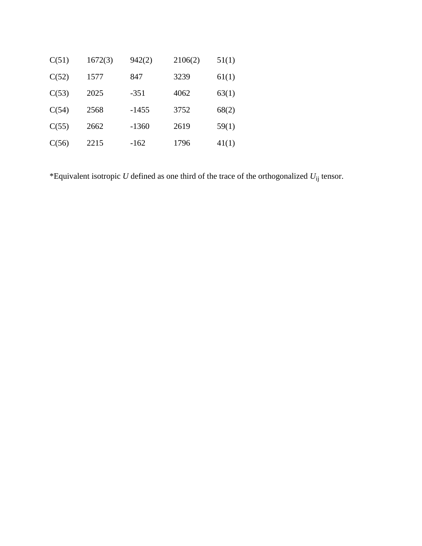| C(51) | 1672(3) | 942(2)  | 2106(2) | 51(1) |
|-------|---------|---------|---------|-------|
| C(52) | 1577    | 847     | 3239    | 61(1) |
| C(53) | 2025    | $-351$  | 4062    | 63(1) |
| C(54) | 2568    | $-1455$ | 3752    | 68(2) |
| C(55) | 2662    | $-1360$ | 2619    | 59(1) |
| C(56) | 2215    | $-162$  | 1796    | 41(1) |

\*Equivalent isotropic *U* defined as one third of the trace of the orthogonalized  $U_{ij}$  tensor.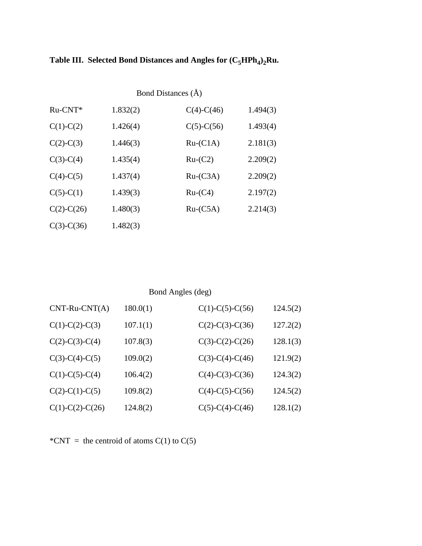| Bond Distances (A) |          |                  |          |
|--------------------|----------|------------------|----------|
| $Ru-CNT*$          | 1.832(2) | $C(4)-C(46)$     | 1.494(3) |
| $C(1)-C(2)$        | 1.426(4) | $C(5)$ - $C(56)$ | 1.493(4) |
| $C(2)-C(3)$        | 1.446(3) | $Ru-C1A)$        | 2.181(3) |
| $C(3)-C(4)$        | 1.435(4) | $Ru-(C2)$        | 2.209(2) |
| $C(4)-C(5)$        | 1.437(4) | $Ru-C3A)$        | 2.209(2) |
| $C(5)-C(1)$        | 1.439(3) | $Ru-(C4)$        | 2.197(2) |
| $C(2)$ -C $(26)$   | 1.480(3) | $Ru-C5A)$        | 2.214(3) |
| $C(3)-C(36)$       | 1.482(3) |                  |          |

### Bond Angles (deg)

| $CNT-Ru-CNT(A)$   | 180.0(1) | $C(1)-C(5)-C(56)$ | 124.5(2) |
|-------------------|----------|-------------------|----------|
| $C(1)-C(2)-C(3)$  | 107.1(1) | $C(2)-C(3)-C(36)$ | 127.2(2) |
| $C(2)-C(3)-C(4)$  | 107.8(3) | $C(3)-C(2)-C(26)$ | 128.1(3) |
| $C(3)-C(4)-C(5)$  | 109.0(2) | $C(3)-C(4)-C(46)$ | 121.9(2) |
| $C(1)-C(5)-C(4)$  | 106.4(2) | $C(4)-C(3)-C(36)$ | 124.3(2) |
| $C(2)-C(1)-C(5)$  | 109.8(2) | $C(4)-C(5)-C(56)$ | 124.5(2) |
| $C(1)-C(2)-C(26)$ | 124.8(2) | $C(5)-C(4)-C(46)$ | 128.1(2) |

\*CNT = the centroid of atoms  $C(1)$  to  $C(5)$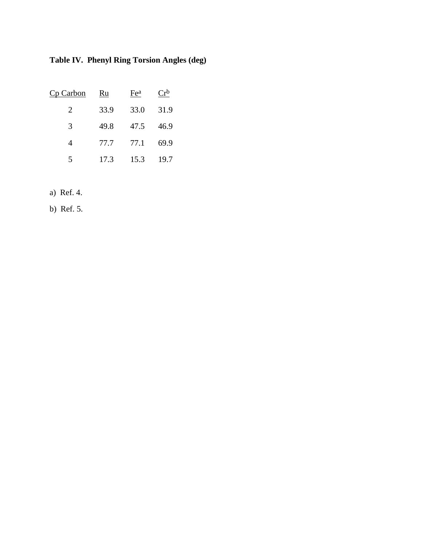**Table IV. Phenyl Ring Torsion Angles (deg)**

| Cp Carbon | Ru   | Fe <sup>a</sup> | $Cr^b$ |
|-----------|------|-----------------|--------|
| 2         | 33.9 | 33.0            | 31.9   |
| 3         | 49.8 | 47.5            | 46.9   |
| 4         | 77.7 | 77.1            | 69.9   |
| 5         | 17.3 | 15.3            | 19.7   |

a) Ref. 4.

b) Ref. 5.